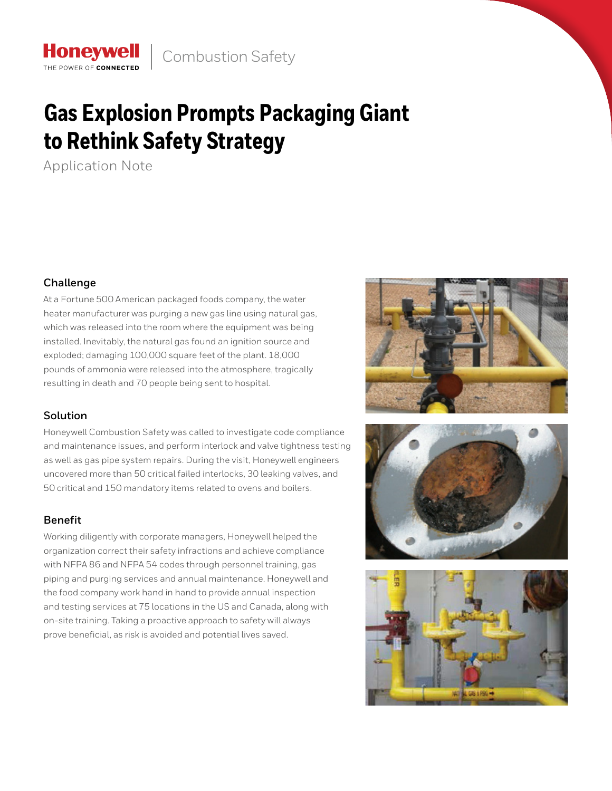# **Gas Explosion Prompts Packaging Giant to Rethink Safety Strategy**

Application Note

THE POWER OF CONNECTED

## **Challenge**

At a Fortune 500 American packaged foods company, the water heater manufacturer was purging a new gas line using natural gas, which was released into the room where the equipment was being installed. Inevitably, the natural gas found an ignition source and exploded; damaging 100,000 square feet of the plant. 18,000 pounds of ammonia were released into the atmosphere, tragically resulting in death and 70 people being sent to hospital.

# **Solution**

Honeywell Combustion Safety was called to investigate code compliance and maintenance issues, and perform interlock and valve tightness testing as well as gas pipe system repairs. During the visit, Honeywell engineers uncovered more than 50 critical failed interlocks, 30 leaking valves, and 50 critical and 150 mandatory items related to ovens and boilers.

# **Benefit**

Working diligently with corporate managers, Honeywell helped the organization correct their safety infractions and achieve compliance with NFPA 86 and NFPA 54 codes through personnel training, gas piping and purging services and annual maintenance. Honeywell and the food company work hand in hand to provide annual inspection and testing services at 75 locations in the US and Canada, along with on-site training. Taking a proactive approach to safety will always prove beneficial, as risk is avoided and potential lives saved.